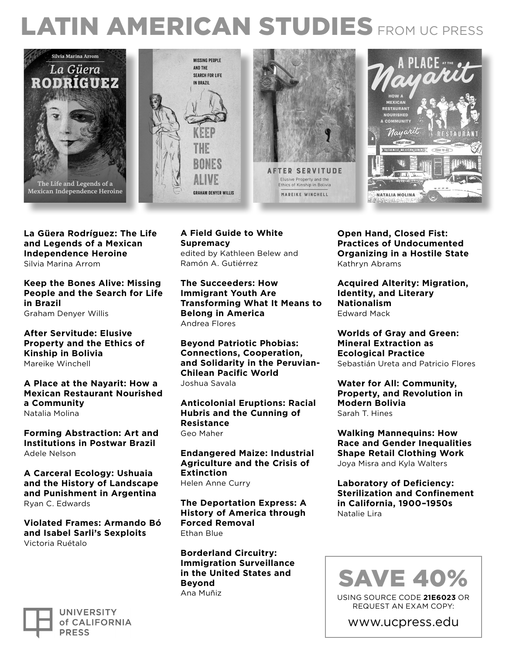## LATIN AMERICAN STUDIES FROM UC PRESS



**MISSING PEOPLE** AND THE **SEARCH FOR LIFE IN BRAZIL GRAHAM DENYER WILLIS** 





**La Güera Rodríguez: The Life and Legends of a Mexican Independence Heroine**

Silvia Marina Arrom

**Keep the Bones Alive: Missing People and the Search for Life in Brazil** Graham Denyer Willis

**After Servitude: Elusive Property and the Ethics of Kinship in Bolivia** Mareike Winchell

## **A Place at the Nayarit: How a Mexican Restaurant Nourished a Community** Natalia Molina

**Forming Abstraction: Art and Institutions in Postwar Brazil** Adele Nelson

**A Carceral Ecology: Ushuaia and the History of Landscape and Punishment in Argentina** Ryan C. Edwards

**Violated Frames: Armando Bó and Isabel Sarli's Sexploits** Victoria Ruétalo

## **A Field Guide to White Supremacy**

edited by Kathleen Belew and Ramón A. Gutiérrez

**The Succeeders: How Immigrant Youth Are Transforming What It Means to Belong in America** Andrea Flores

**Beyond Patriotic Phobias: Connections, Cooperation, and Solidarity in the Peruvian-Chilean Pacific World** Joshua Savala

**Anticolonial Eruptions: Racial Hubris and the Cunning of Resistance** Geo Maher

**Endangered Maize: Industrial Agriculture and the Crisis of Extinction** Helen Anne Curry

**The Deportation Express: A History of America through Forced Removal** Ethan Blue

**Borderland Circuitry: Immigration Surveillance in the United States and Beyond** Ana Muñiz

**Open Hand, Closed Fist: Practices of Undocumented Organizing in a Hostile State** Kathryn Abrams

**Acquired Alterity: Migration, Identity, and Literary Nationalism** Edward Mack

**Worlds of Gray and Green: Mineral Extraction as Ecological Practice** Sebastián Ureta and Patricio Flores

**Water for All: Community, Property, and Revolution in Modern Bolivia** Sarah T. Hines

**Walking Mannequins: How Race and Gender Inequalities Shape Retail Clothing Work** Joya Misra and Kyla Walters

**Laboratory of Deficiency: Sterilization and Confinement in California, 1900–1950s** Natalie Lira



USING SOURCE CODE **21E6023** OR REQUEST AN EXAM COPY:

www.ucpress.edu